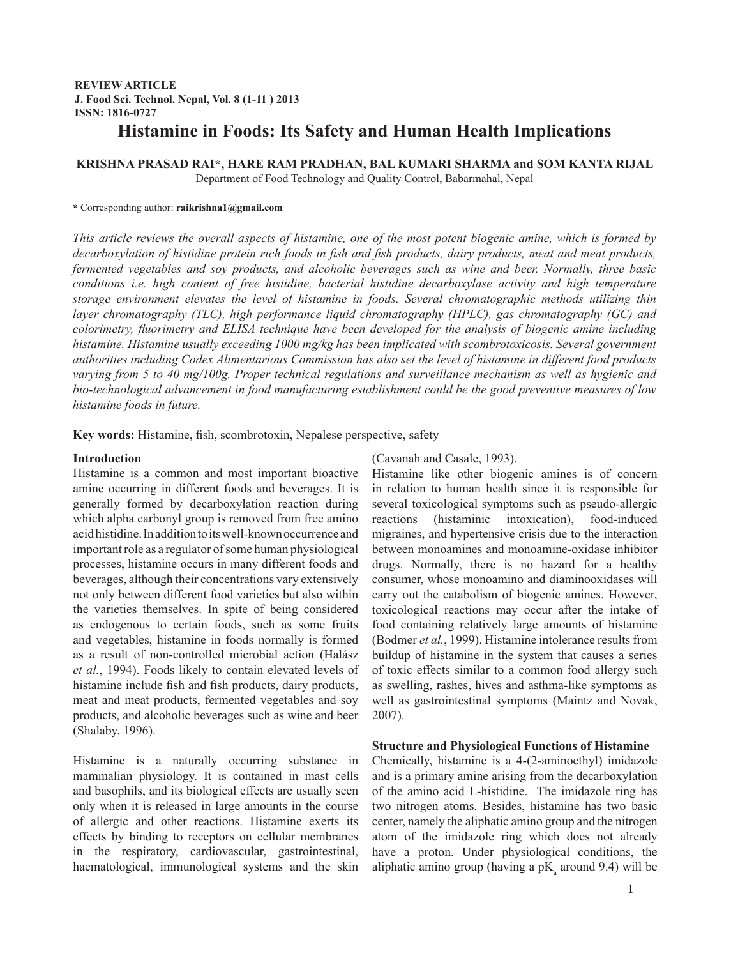## **REVIEW ARTICLE J. Food Sci. Technol. Nepal, Vol. 8 (1-11 ) 2013 ISSN: 1816-0727**

# **Histamine in Foods: Its Safety and Human Health Implications**

**KRISHNA PRASAD RAI\*, HARE RAM PRADHAN, BAL KUMARI SHARMA and SOM KANTA RIJAL**

Department of Food Technology and Quality Control, Babarmahal, Nepal

#### **\*** Corresponding author: **raikrishna1@gmail.com**

*This article reviews the overall aspects of histamine, one of the most potent biogenic amine, which is formed by decarboxylation of histidine protein rich foods in fish and fish products, dairy products, meat and meat products, fermented vegetables and soy products, and alcoholic beverages such as wine and beer. Normally, three basic conditions i.e. high content of free histidine, bacterial histidine decarboxylase activity and high temperature storage environment elevates the level of histamine in foods. Several chromatographic methods utilizing thin layer chromatography (TLC), high performance liquid chromatography (HPLC), gas chromatography (GC) and colorimetry, fluorimetry and ELISA technique have been developed for the analysis of biogenic amine including histamine. Histamine usually exceeding 1000 mg/kg has been implicated with scombrotoxicosis. Several government authorities including Codex Alimentarious Commission has also set the level of histamine in different food products varying from 5 to 40 mg/100g. Proper technical regulations and surveillance mechanism as well as hygienic and bio-technological advancement in food manufacturing establishment could be the good preventive measures of low histamine foods in future.* 

**Key words:** Histamine, fish, scombrotoxin, Nepalese perspective, safety

## **Introduction**

Histamine is a common and most important bioactive amine occurring in different foods and beverages. It is generally formed by decarboxylation reaction during which alpha carbonyl group is removed from free amino acid histidine. In addition to its well-known occurrence and important role as a regulator of some human physiological processes, histamine occurs in many different foods and beverages, although their concentrations vary extensively not only between different food varieties but also within the varieties themselves. In spite of being considered as endogenous to certain foods, such as some fruits and vegetables, histamine in foods normally is formed as a result of non-controlled microbial action (Halász *et al.*, 1994). Foods likely to contain elevated levels of histamine include fish and fish products, dairy products, meat and meat products, fermented vegetables and soy products, and alcoholic beverages such as wine and beer (Shalaby, 1996).

Histamine is a naturally occurring substance in mammalian physiology. It is contained in mast cells and basophils, and its biological effects are usually seen only when it is released in large amounts in the course of allergic and other reactions. Histamine exerts its effects by binding to receptors on cellular membranes in the respiratory, cardiovascular, gastrointestinal, haematological, immunological systems and the skin (Cavanah and Casale, 1993).

Histamine like other biogenic amines is of concern in relation to human health since it is responsible for several toxicological symptoms such as pseudo-allergic reactions (histaminic intoxication), food-induced migraines, and hypertensive crisis due to the interaction between monoamines and monoamine-oxidase inhibitor drugs. Normally, there is no hazard for a healthy consumer, whose monoamino and diaminooxidases will carry out the catabolism of biogenic amines. However, toxicological reactions may occur after the intake of food containing relatively large amounts of histamine (Bodmer *et al.*, 1999). Histamine intolerance results from buildup of histamine in the system that causes a series of toxic effects similar to a common food allergy such as swelling, rashes, hives and asthma-like symptoms as well as gastrointestinal symptoms (Maintz and Novak, 2007).

## **Structure and Physiological Functions of Histamine**

Chemically, histamine is a 4-(2-aminoethyl) imidazole and is a primary amine arising from the decarboxylation of the amino acid L-histidine. The imidazole ring has two nitrogen atoms. Besides, histamine has two basic center, namely the aliphatic amino group and the nitrogen atom of the imidazole ring which does not already have a proton. Under physiological conditions, the aliphatic amino group (having a  $pK_a$  around 9.4) will be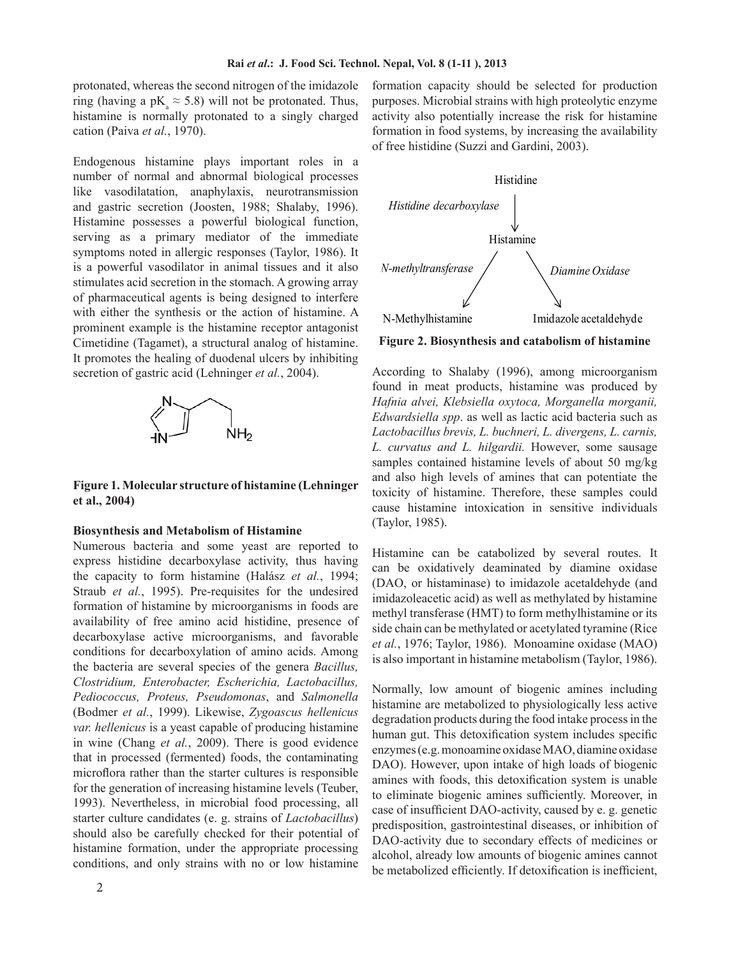protonated, whereas the second nitrogen of the imidazole ring (having a  $pK_a \approx 5.8$ ) will not be protonated. Thus, histamine is normally protonated to a singly charged cation (Paiva *et al.*, 1970).

Endogenous histamine plays important roles in a number of normal and abnormal biological processes like vasodilatation, anaphylaxis, neurotransmission and gastric secretion (Joosten, 1988; Shalaby, 1996). Histamine possesses a powerful biological function, serving as a primary mediator of the immediate symptoms noted in allergic responses (Taylor, 1986). It is a powerful vasodilator in animal tissues and it also stimulates acid secretion in the stomach. A growing array of pharmaceutical agents is being designed to interfere with either the synthesis or the action of histamine. A prominent example is the histamine receptor antagonist Cimetidine (Tagamet), a structural analog of histamine. It promotes the healing of duodenal ulcers by inhibiting secretion of gastric acid (Lehninger *et al.*, 2004).



**Figure 1. Molecular structure of histamine (Lehninger et al., 2004)** 

#### **Biosynthesis and Metabolism of Histamine**

Numerous bacteria and some yeast are reported to express histidine decarboxylase activity, thus having the capacity to form histamine (Halász *et al.*, 1994; Straub *et al.*, 1995). Pre-requisites for the undesired formation of histamine by microorganisms in foods are availability of free amino acid histidine, presence of decarboxylase active microorganisms, and favorable conditions for decarboxylation of amino acids. Among the bacteria are several species of the genera *Bacillus, Clostridium, Enterobacter, Escherichia, Lactobacillus, Pediococcus, Proteus, Pseudomonas*, and *Salmonella*  (Bodmer *et al.*, 1999). Likewise, *Zygoascus hellenicus var. hellenicus* is a yeast capable of producing histamine in wine (Chang *et al.*, 2009). There is good evidence that in processed (fermented) foods, the contaminating microflora rather than the starter cultures is responsible for the generation of increasing histamine levels (Teuber, 1993). Nevertheless, in microbial food processing, all starter culture candidates (e. g. strains of *Lactobacillus*) should also be carefully checked for their potential of histamine formation, under the appropriate processing conditions, and only strains with no or low histamine

formation capacity should be selected for production purposes. Microbial strains with high proteolytic enzyme activity also potentially increase the risk for histamine formation in food systems, by increasing the availability of free histidine (Suzzi and Gardini, 2003).



**Figure 2. Biosynthesis and catabolism of histamine**

According to Shalaby (1996), among microorganism found in meat products, histamine was produced by *Hafnia alvei, Klebsiella oxytoca, Morganella morganii, Edwardsiella spp*. as well as lactic acid bacteria such as *Lactobacillus brevis, L. buchneri, L. divergens, L. carnis, L. curvatus and L. hilgardii.* However, some sausage samples contained histamine levels of about 50 mg/kg and also high levels of amines that can potentiate the toxicity of histamine. Therefore, these samples could cause histamine intoxication in sensitive individuals (Taylor, 1985).

Histamine can be catabolized by several routes. It can be oxidatively deaminated by diamine oxidase (DAO, or histaminase) to imidazole acetaldehyde (and imidazoleacetic acid) as well as methylated by histamine methyl transferase (HMT) to form methylhistamine or its side chain can be methylated or acetylated tyramine (Rice *et al.*, 1976; Taylor, 1986). Monoamine oxidase (MAO) is also important in histamine metabolism (Taylor, 1986).

Normally, low amount of biogenic amines including histamine are metabolized to physiologically less active degradation products during the food intake process in the human gut. This detoxification system includes specific enzymes (e.g. monoamine oxidase MAO, diamine oxidase DAO). However, upon intake of high loads of biogenic amines with foods, this detoxification system is unable to eliminate biogenic amines sufficiently. Moreover, in case of insufficient DAO-activity, caused by e. g. genetic predisposition, gastrointestinal diseases, or inhibition of DAO-activity due to secondary effects of medicines or alcohol, already low amounts of biogenic amines cannot be metabolized efficiently. If detoxification is inefficient,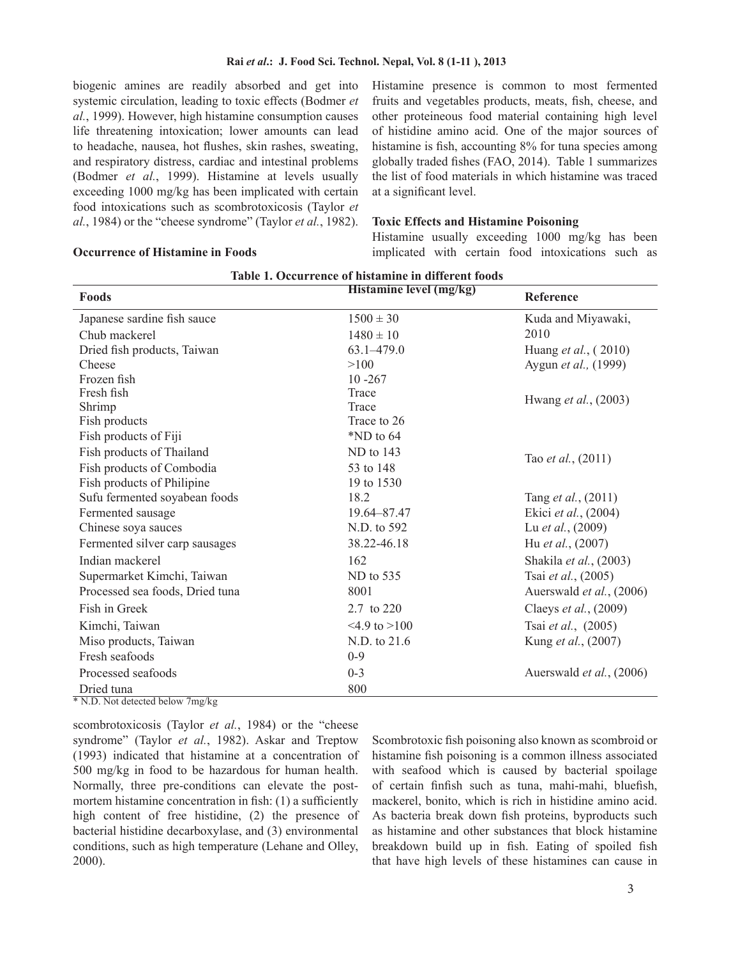biogenic amines are readily absorbed and get into systemic circulation, leading to toxic effects (Bodmer *et al.*, 1999). However, high histamine consumption causes life threatening intoxication; lower amounts can lead to headache, nausea, hot flushes, skin rashes, sweating, and respiratory distress, cardiac and intestinal problems (Bodmer *et al.*, 1999). Histamine at levels usually exceeding 1000 mg/kg has been implicated with certain food intoxications such as scombrotoxicosis (Taylor *et al.*, 1984) or the "cheese syndrome" (Taylor *et al.*, 1982).

**Occurrence of Histamine in Foods** 

histamine is fish, accounting 8% for tuna species among globally traded fishes (FAO, 2014). Table 1 summarizes the list of food materials in which histamine was traced at a significant level.

## **Toxic Effects and Histamine Poisoning**

Histamine usually exceeding 1000 mg/kg has been implicated with certain food intoxications such as

Histamine presence is common to most fermented fruits and vegetables products, meats, fish, cheese, and other proteineous food material containing high level of histidine amino acid. One of the major sources of

| Foods                                                                                                                                                                                                                                                                                                                                                                                                                                              | Histamine level (mg/kg) | Reference                        |  |
|----------------------------------------------------------------------------------------------------------------------------------------------------------------------------------------------------------------------------------------------------------------------------------------------------------------------------------------------------------------------------------------------------------------------------------------------------|-------------------------|----------------------------------|--|
| Japanese sardine fish sauce                                                                                                                                                                                                                                                                                                                                                                                                                        | $1500 \pm 30$           | Kuda and Miyawaki,               |  |
| Chub mackerel                                                                                                                                                                                                                                                                                                                                                                                                                                      | $1480 \pm 10$           | 2010                             |  |
| Dried fish products, Taiwan                                                                                                                                                                                                                                                                                                                                                                                                                        | $63.1 - 479.0$          | Huang <i>et al.</i> , (2010)     |  |
| Cheese                                                                                                                                                                                                                                                                                                                                                                                                                                             | >100                    | Aygun et al., (1999)             |  |
| Frozen fish                                                                                                                                                                                                                                                                                                                                                                                                                                        | $10 - 267$              |                                  |  |
| Fresh fish                                                                                                                                                                                                                                                                                                                                                                                                                                         | Trace                   | Hwang <i>et al.</i> , (2003)     |  |
| Shrimp                                                                                                                                                                                                                                                                                                                                                                                                                                             | Trace                   |                                  |  |
| Fish products                                                                                                                                                                                                                                                                                                                                                                                                                                      | Trace to 26             |                                  |  |
| Fish products of Fiji                                                                                                                                                                                                                                                                                                                                                                                                                              | $*ND$ to 64             |                                  |  |
| Fish products of Thailand                                                                                                                                                                                                                                                                                                                                                                                                                          | ND to 143               | Tao <i>et al.</i> , (2011)       |  |
| Fish products of Combodia                                                                                                                                                                                                                                                                                                                                                                                                                          | 53 to 148               |                                  |  |
| Fish products of Philipine                                                                                                                                                                                                                                                                                                                                                                                                                         | 19 to 1530              |                                  |  |
| Sufu fermented soyabean foods                                                                                                                                                                                                                                                                                                                                                                                                                      | 18.2                    | Tang <i>et al.</i> , (2011)      |  |
| Fermented sausage                                                                                                                                                                                                                                                                                                                                                                                                                                  | 19.64-87.47             | Ekici et al., (2004)             |  |
| Chinese soya sauces                                                                                                                                                                                                                                                                                                                                                                                                                                | N.D. to 592             | Lu et al., (2009)                |  |
| Fermented silver carp sausages                                                                                                                                                                                                                                                                                                                                                                                                                     | 38.22-46.18             | Hu et al., (2007)                |  |
| Indian mackerel                                                                                                                                                                                                                                                                                                                                                                                                                                    | 162                     | Shakila et al., (2003)           |  |
| Supermarket Kimchi, Taiwan                                                                                                                                                                                                                                                                                                                                                                                                                         | ND to 535               | Tsai et al., (2005)              |  |
| Processed sea foods, Dried tuna                                                                                                                                                                                                                                                                                                                                                                                                                    | 8001                    | Auerswald et al., (2006)         |  |
| Fish in Greek                                                                                                                                                                                                                                                                                                                                                                                                                                      | 2.7 to 220              | Claeys et al., (2009)            |  |
| Kimchi, Taiwan                                                                                                                                                                                                                                                                                                                                                                                                                                     | $<4.9$ to $>100$        | Tsai et al., (2005)              |  |
| Miso products, Taiwan                                                                                                                                                                                                                                                                                                                                                                                                                              | N.D. to 21.6            | Kung et al., (2007)              |  |
| Fresh seafoods                                                                                                                                                                                                                                                                                                                                                                                                                                     | $0 - 9$                 |                                  |  |
| Processed seafoods                                                                                                                                                                                                                                                                                                                                                                                                                                 | $0 - 3$                 | Auerswald <i>et al.</i> , (2006) |  |
| Dried tuna<br>$T_{\rm N}$ $\overline{\rm M}_{\rm c}$ $\overline{\rm M}_{\rm c}$ $\overline{\rm M}_{\rm c}$ $\overline{\rm M}_{\rm c}$ $\overline{\rm M}_{\rm c}$ $\overline{\rm M}_{\rm c}$ $\overline{\rm M}_{\rm c}$ $\overline{\rm M}_{\rm c}$ $\overline{\rm M}_{\rm c}$ $\overline{\rm M}_{\rm c}$ $\overline{\rm M}_{\rm c}$ $\overline{\rm M}_{\rm c}$ $\overline{\rm M}_{\rm c}$ $\overline{\rm M}_{\rm c}$ $\overline{\rm M}_{\rm c}$ $\$ | 800                     |                                  |  |

**Table 1. Occurrence of histamine in different foods**

\* N.D. Not detected below 7mg/kg

scombrotoxicosis (Taylor *et al.*, 1984) or the "cheese syndrome" (Taylor *et al.*, 1982). Askar and Treptow (1993) indicated that histamine at a concentration of 500 mg/kg in food to be hazardous for human health. Normally, three pre-conditions can elevate the postmortem histamine concentration in fish: (1) a sufficiently high content of free histidine, (2) the presence of bacterial histidine decarboxylase, and (3) environmental conditions, such as high temperature (Lehane and Olley, 2000).

Scombrotoxic fish poisoning also known as scombroid or histamine fish poisoning is a common illness associated with seafood which is caused by bacterial spoilage of certain finfish such as tuna, mahi-mahi, bluefish, mackerel, bonito, which is rich in histidine amino acid. As bacteria break down fish proteins, byproducts such as histamine and other substances that block histamine breakdown build up in fish. Eating of spoiled fish that have high levels of these histamines can cause in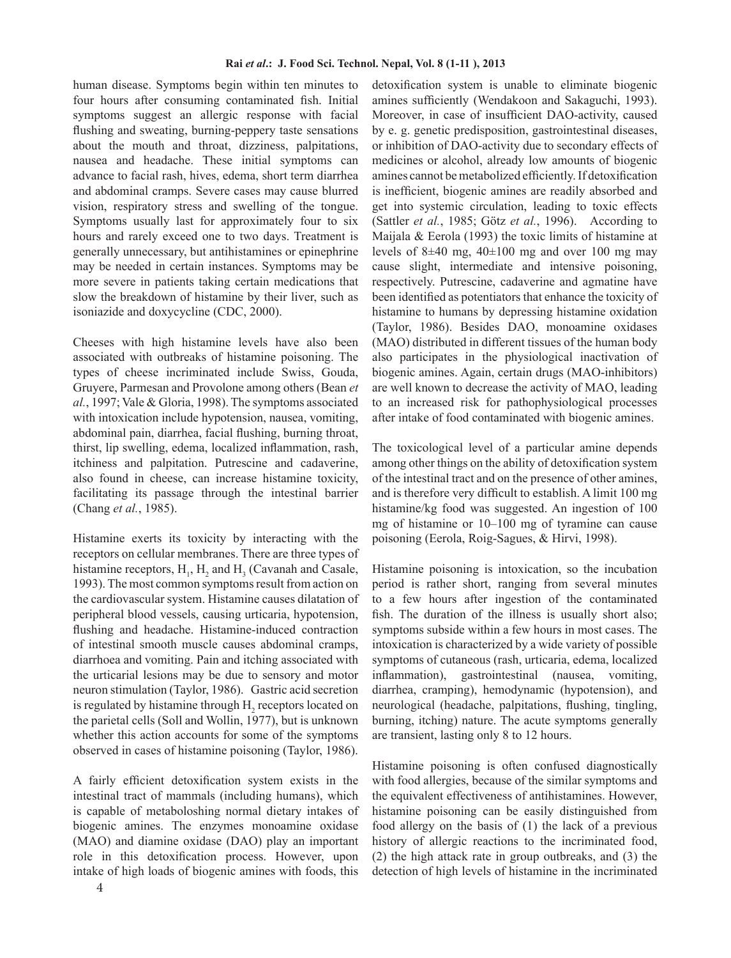human disease. Symptoms begin within ten minutes to four hours after consuming contaminated fish. Initial symptoms suggest an allergic response with facial flushing and sweating, burning-peppery taste sensations about the mouth and throat, dizziness, palpitations, nausea and headache. These initial symptoms can advance to facial rash, hives, edema, short term diarrhea and abdominal cramps. Severe cases may cause blurred vision, respiratory stress and swelling of the tongue. Symptoms usually last for approximately four to six hours and rarely exceed one to two days. Treatment is generally unnecessary, but antihistamines or epinephrine may be needed in certain instances. Symptoms may be more severe in patients taking certain medications that slow the breakdown of histamine by their liver, such as isoniazide and doxycycline (CDC, 2000).

Cheeses with high histamine levels have also been associated with outbreaks of histamine poisoning. The types of cheese incriminated include Swiss, Gouda, Gruyere, Parmesan and Provolone among others (Bean *et al.*, 1997; Vale & Gloria, 1998). The symptoms associated with intoxication include hypotension, nausea, vomiting, abdominal pain, diarrhea, facial flushing, burning throat, thirst, lip swelling, edema, localized inflammation, rash, itchiness and palpitation. Putrescine and cadaverine, also found in cheese, can increase histamine toxicity, facilitating its passage through the intestinal barrier (Chang *et al.*, 1985).

Histamine exerts its toxicity by interacting with the receptors on cellular membranes. There are three types of histamine receptors,  $H_1$ ,  $H_2$  and  $H_3$  (Cavanah and Casale, 1993). The most common symptoms result from action on the cardiovascular system. Histamine causes dilatation of peripheral blood vessels, causing urticaria, hypotension, flushing and headache. Histamine-induced contraction of intestinal smooth muscle causes abdominal cramps, diarrhoea and vomiting. Pain and itching associated with the urticarial lesions may be due to sensory and motor neuron stimulation (Taylor, 1986). Gastric acid secretion is regulated by histamine through  $H_2$  receptors located on the parietal cells (Soll and Wollin, 1977), but is unknown whether this action accounts for some of the symptoms observed in cases of histamine poisoning (Taylor, 1986).

A fairly efficient detoxification system exists in the intestinal tract of mammals (including humans), which is capable of metaboloshing normal dietary intakes of biogenic amines. The enzymes monoamine oxidase (MAO) and diamine oxidase (DAO) play an important role in this detoxification process. However, upon intake of high loads of biogenic amines with foods, this detoxification system is unable to eliminate biogenic amines sufficiently (Wendakoon and Sakaguchi, 1993). Moreover, in case of insufficient DAO-activity, caused by e. g. genetic predisposition, gastrointestinal diseases, or inhibition of DAO-activity due to secondary effects of medicines or alcohol, already low amounts of biogenic amines cannot be metabolized efficiently. If detoxification is inefficient, biogenic amines are readily absorbed and get into systemic circulation, leading to toxic effects (Sattler *et al.*, 1985; Götz *et al.*, 1996). According to Maijala & Eerola (1993) the toxic limits of histamine at levels of  $8\pm40$  mg,  $40\pm100$  mg and over 100 mg may cause slight, intermediate and intensive poisoning, respectively. Putrescine, cadaverine and agmatine have been identified as potentiators that enhance the toxicity of histamine to humans by depressing histamine oxidation (Taylor, 1986). Besides DAO, monoamine oxidases (MAO) distributed in different tissues of the human body also participates in the physiological inactivation of biogenic amines. Again, certain drugs (MAO-inhibitors) are well known to decrease the activity of MAO, leading to an increased risk for pathophysiological processes after intake of food contaminated with biogenic amines.

The toxicological level of a particular amine depends among other things on the ability of detoxification system of the intestinal tract and on the presence of other amines, and is therefore very difficult to establish. A limit 100 mg histamine/kg food was suggested. An ingestion of 100 mg of histamine or 10–100 mg of tyramine can cause poisoning (Eerola, Roig-Sagues, & Hirvi, 1998).

Histamine poisoning is intoxication, so the incubation period is rather short, ranging from several minutes to a few hours after ingestion of the contaminated fish. The duration of the illness is usually short also; symptoms subside within a few hours in most cases. The intoxication is characterized by a wide variety of possible symptoms of cutaneous (rash, urticaria, edema, localized inflammation), gastrointestinal (nausea, vomiting, diarrhea, cramping), hemodynamic (hypotension), and neurological (headache, palpitations, flushing, tingling, burning, itching) nature. The acute symptoms generally are transient, lasting only 8 to 12 hours.

Histamine poisoning is often confused diagnostically with food allergies, because of the similar symptoms and the equivalent effectiveness of antihistamines. However, histamine poisoning can be easily distinguished from food allergy on the basis of (1) the lack of a previous history of allergic reactions to the incriminated food, (2) the high attack rate in group outbreaks, and (3) the detection of high levels of histamine in the incriminated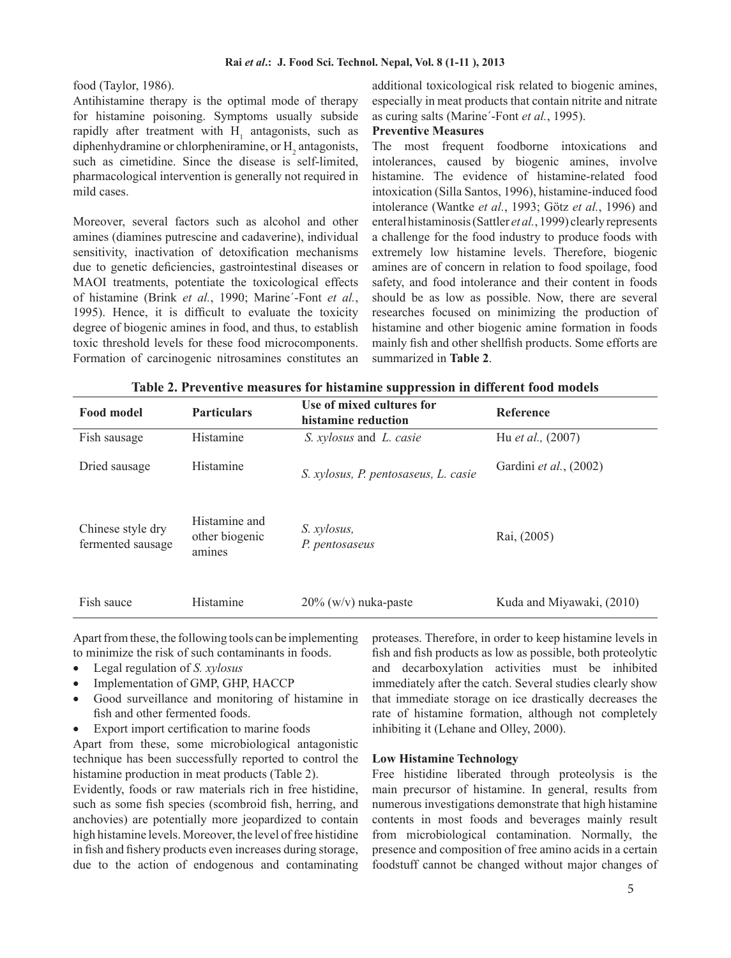## **Rai** *et al***.: J. Food Sci. Technol. Nepal, Vol. 8 (1-11 ), 2013**

food (Taylor, 1986).

Antihistamine therapy is the optimal mode of therapy for histamine poisoning. Symptoms usually subside rapidly after treatment with  $H<sub>1</sub>$  antagonists, such as diphenhydramine or chlorpheniramine, or  $H_2$  antagonists, such as cimetidine. Since the disease is self-limited, pharmacological intervention is generally not required in mild cases.

Moreover, several factors such as alcohol and other amines (diamines putrescine and cadaverine), individual sensitivity, inactivation of detoxification mechanisms due to genetic deficiencies, gastrointestinal diseases or MAOI treatments, potentiate the toxicological effects of histamine (Brink *et al.*, 1990; Marine´-Font *et al.*, 1995). Hence, it is difficult to evaluate the toxicity degree of biogenic amines in food, and thus, to establish toxic threshold levels for these food microcomponents. Formation of carcinogenic nitrosamines constitutes an additional toxicological risk related to biogenic amines, especially in meat products that contain nitrite and nitrate as curing salts (Marine´-Font *et al.*, 1995).

#### **Preventive Measures**

The most frequent foodborne intoxications and intolerances, caused by biogenic amines, involve histamine. The evidence of histamine-related food intoxication (Silla Santos, 1996), histamine-induced food intolerance (Wantke *et al.*, 1993; Götz *et al.*, 1996) and enteral histaminosis (Sattler *et al.*, 1999) clearly represents a challenge for the food industry to produce foods with extremely low histamine levels. Therefore, biogenic amines are of concern in relation to food spoilage, food safety, and food intolerance and their content in foods should be as low as possible. Now, there are several researches focused on minimizing the production of histamine and other biogenic amine formation in foods mainly fish and other shellfish products. Some efforts are summarized in **Table 2**.

| <b>Food model</b>                      | <b>Particulars</b>                        | Use of mixed cultures for<br>histamine reduction | Reference                 |
|----------------------------------------|-------------------------------------------|--------------------------------------------------|---------------------------|
| Fish sausage                           | Histamine                                 | S. xylosus and L. casie                          | Hu et al., (2007)         |
| Dried sausage                          | Histamine                                 | S. xylosus, P. pentosaseus, L. casie             | Gardini et al., (2002)    |
| Chinese style dry<br>fermented sausage | Histamine and<br>other biogenic<br>amines | S. xylosus,<br>P. pentosaseus                    | Rai, (2005)               |
| Fish sauce                             | Histamine                                 | $20\%$ (w/v) nuka-paste                          | Kuda and Miyawaki, (2010) |

Apart from these, the following tools can be implementing to minimize the risk of such contaminants in foods.

- • Legal regulation of *S. xylosus*
- Implementation of GMP, GHP, HACCP
- • Good surveillance and monitoring of histamine in fish and other fermented foods.
- • Export import certification to marine foods

Apart from these, some microbiological antagonistic technique has been successfully reported to control the histamine production in meat products (Table 2).

Evidently, foods or raw materials rich in free histidine, such as some fish species (scombroid fish, herring, and anchovies) are potentially more jeopardized to contain high histamine levels. Moreover, the level of free histidine in fish and fishery products even increases during storage, due to the action of endogenous and contaminating proteases. Therefore, in order to keep histamine levels in fish and fish products as low as possible, both proteolytic and decarboxylation activities must be inhibited immediately after the catch. Several studies clearly show that immediate storage on ice drastically decreases the rate of histamine formation, although not completely inhibiting it (Lehane and Olley, 2000).

#### **Low Histamine Technology**

Free histidine liberated through proteolysis is the main precursor of histamine. In general, results from numerous investigations demonstrate that high histamine contents in most foods and beverages mainly result from microbiological contamination. Normally, the presence and composition of free amino acids in a certain foodstuff cannot be changed without major changes of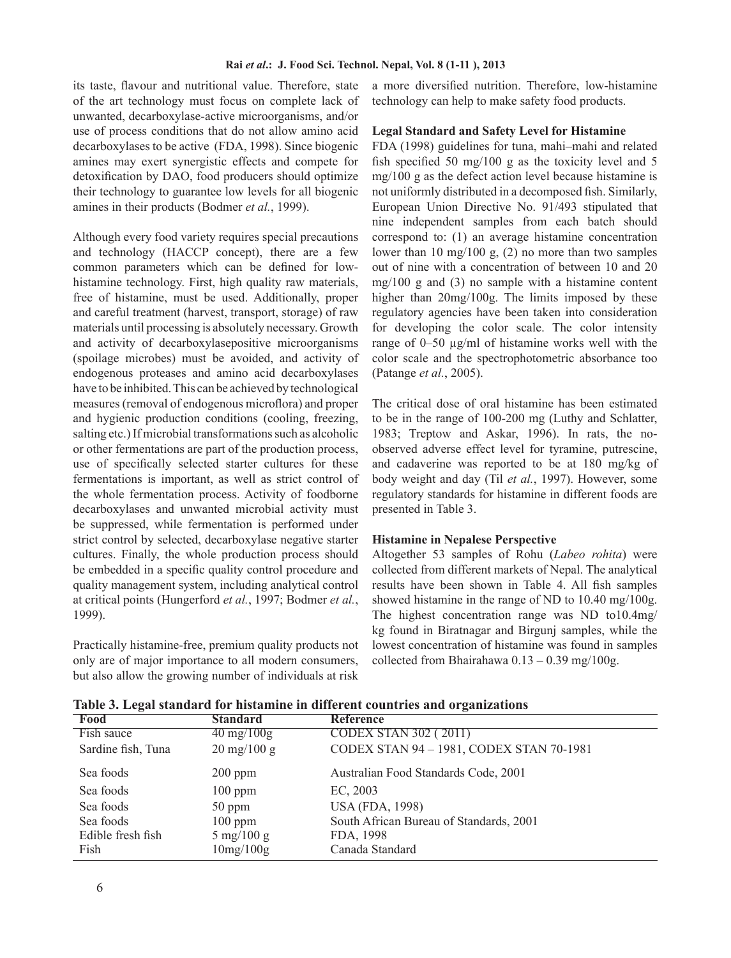its taste, flavour and nutritional value. Therefore, state of the art technology must focus on complete lack of unwanted, decarboxylase-active microorganisms, and/or use of process conditions that do not allow amino acid decarboxylases to be active (FDA, 1998). Since biogenic amines may exert synergistic effects and compete for detoxification by DAO, food producers should optimize their technology to guarantee low levels for all biogenic amines in their products (Bodmer *et al.*, 1999).

Although every food variety requires special precautions and technology (HACCP concept), there are a few common parameters which can be defined for lowhistamine technology. First, high quality raw materials, free of histamine, must be used. Additionally, proper and careful treatment (harvest, transport, storage) of raw materials until processing is absolutely necessary. Growth and activity of decarboxylasepositive microorganisms (spoilage microbes) must be avoided, and activity of endogenous proteases and amino acid decarboxylases have to be inhibited. This can be achieved by technological measures (removal of endogenous microflora) and proper and hygienic production conditions (cooling, freezing, salting etc.) If microbial transformations such as alcoholic or other fermentations are part of the production process, use of specifically selected starter cultures for these fermentations is important, as well as strict control of the whole fermentation process. Activity of foodborne decarboxylases and unwanted microbial activity must be suppressed, while fermentation is performed under strict control by selected, decarboxylase negative starter cultures. Finally, the whole production process should be embedded in a specific quality control procedure and quality management system, including analytical control at critical points (Hungerford *et al.*, 1997; Bodmer *et al.*, 1999).

Practically histamine-free, premium quality products not only are of major importance to all modern consumers, but also allow the growing number of individuals at risk a more diversified nutrition. Therefore, low-histamine technology can help to make safety food products.

#### **Legal Standard and Safety Level for Histamine**

FDA (1998) guidelines for tuna, mahi–mahi and related fish specified 50 mg/100 g as the toxicity level and 5 mg/100 g as the defect action level because histamine is not uniformly distributed in a decomposed fish. Similarly, European Union Directive No. 91/493 stipulated that nine independent samples from each batch should correspond to: (1) an average histamine concentration lower than 10 mg/100 g, (2) no more than two samples out of nine with a concentration of between 10 and 20 mg/100 g and (3) no sample with a histamine content higher than 20mg/100g. The limits imposed by these regulatory agencies have been taken into consideration for developing the color scale. The color intensity range of 0–50 µg/ml of histamine works well with the color scale and the spectrophotometric absorbance too (Patange *et al.*, 2005).

The critical dose of oral histamine has been estimated to be in the range of 100-200 mg (Luthy and Schlatter, 1983; Treptow and Askar, 1996). In rats, the noobserved adverse effect level for tyramine, putrescine, and cadaverine was reported to be at 180 mg/kg of body weight and day (Til *et al.*, 1997). However, some regulatory standards for histamine in different foods are presented in Table 3.

#### **Histamine in Nepalese Perspective**

Altogether 53 samples of Rohu (*Labeo rohita*) were collected from different markets of Nepal. The analytical results have been shown in Table 4. All fish samples showed histamine in the range of ND to 10.40 mg/100g. The highest concentration range was ND to10.4mg/ kg found in Biratnagar and Birgunj samples, while the lowest concentration of histamine was found in samples collected from Bhairahawa  $0.13 - 0.39$  mg/ $100g$ .

| TROIC OF ENGINE SMILMAL & TOL THSMITHING IN MILLER COMMUNION AND OF CAMERANOIS |                                     |                                          |  |
|--------------------------------------------------------------------------------|-------------------------------------|------------------------------------------|--|
| Food                                                                           | <b>Standard</b>                     | <b>Reference</b>                         |  |
| Fish sauce                                                                     | $40 \,\mathrm{mg}/100 \,\mathrm{g}$ | <b>CODEX STAN 302 (2011)</b>             |  |
| Sardine fish, Tuna                                                             | $20 \text{ mg}/100 \text{ g}$       | CODEX STAN 94 - 1981, CODEX STAN 70-1981 |  |
| Sea foods                                                                      | $200$ ppm                           | Australian Food Standards Code, 2001     |  |
| Sea foods                                                                      | $100$ ppm                           | EC, 2003                                 |  |
| Sea foods                                                                      | 50 ppm                              | <b>USA (FDA, 1998)</b>                   |  |
| Sea foods                                                                      | $100$ ppm                           | South African Bureau of Standards, 2001  |  |
| Edible fresh fish                                                              | $5 \text{ mg}/100 \text{ g}$        | FDA, 1998                                |  |
| Fish                                                                           | 10mg/100g                           | Canada Standard                          |  |
|                                                                                |                                     |                                          |  |

**Table 3. Legal standard for histamine in different countries and organizations**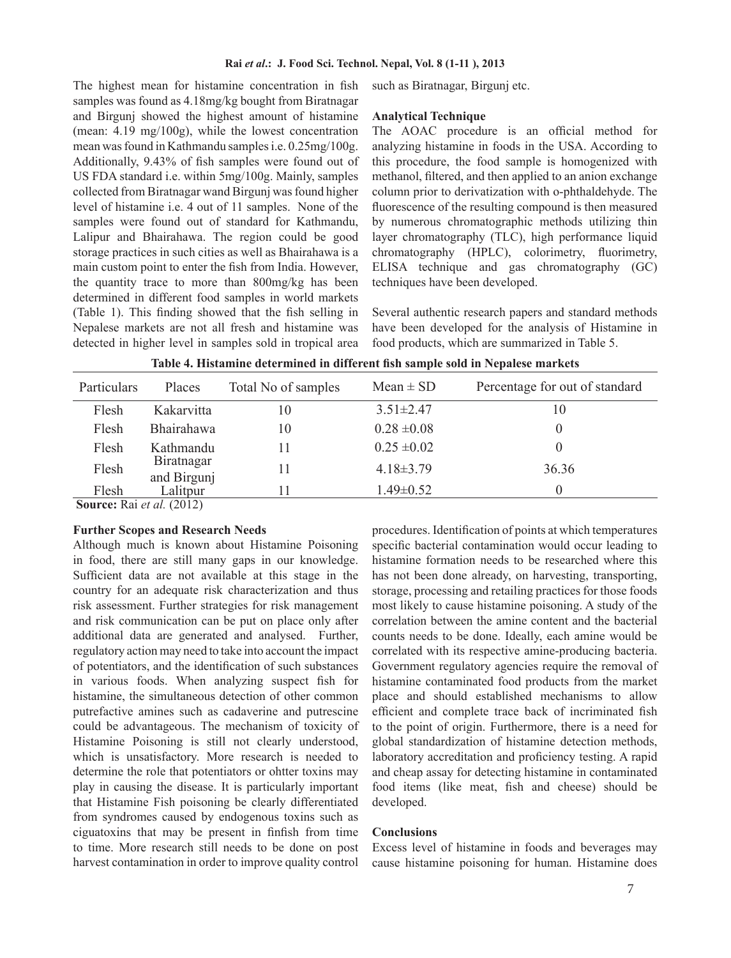The highest mean for histamine concentration in fish samples was found as 4.18mg/kg bought from Biratnagar and Birgunj showed the highest amount of histamine (mean: 4.19 mg/100g), while the lowest concentration mean was found in Kathmandu samples i.e. 0.25mg/100g. Additionally, 9.43% of fish samples were found out of US FDA standard i.e. within 5mg/100g. Mainly, samples collected from Biratnagar wand Birgunj was found higher level of histamine i.e. 4 out of 11 samples. None of the samples were found out of standard for Kathmandu, Lalipur and Bhairahawa. The region could be good storage practices in such cities as well as Bhairahawa is a main custom point to enter the fish from India. However, the quantity trace to more than 800mg/kg has been determined in different food samples in world markets (Table 1). This finding showed that the fish selling in Nepalese markets are not all fresh and histamine was detected in higher level in samples sold in tropical area such as Biratnagar, Birgunj etc.

#### **Analytical Technique**

The AOAC procedure is an official method for analyzing histamine in foods in the USA. According to this procedure, the food sample is homogenized with methanol, filtered, and then applied to an anion exchange column prior to derivatization with o-phthaldehyde. The fluorescence of the resulting compound is then measured by numerous chromatographic methods utilizing thin layer chromatography (TLC), high performance liquid chromatography (HPLC), colorimetry, fluorimetry, ELISA technique and gas chromatography (GC) techniques have been developed.

Several authentic research papers and standard methods have been developed for the analysis of Histamine in food products, which are summarized in Table 5.

| Particulars                                                      | Places                    | Total No of samples | $Mean \pm SD$   | Percentage for out of standard |
|------------------------------------------------------------------|---------------------------|---------------------|-----------------|--------------------------------|
| Flesh                                                            | Kakarvitta                | 0                   | $3.51 \pm 2.47$ | 10                             |
| Flesh                                                            | <b>Bhairahawa</b>         | 10                  | $0.28 \pm 0.08$ | $\theta$                       |
| Flesh                                                            | Kathmandu                 |                     | $0.25 \pm 0.02$ | $\theta$                       |
| Flesh                                                            | Biratnagar<br>and Birgunj |                     | $4.18 \pm 3.79$ | 36.36                          |
| Flesh                                                            | Lalitpur                  |                     | $1.49 \pm 0.52$ | $\theta$                       |
| $\Omega_{\text{average}}$ $\Omega_{\text{eq}}$ $\sim$ $I/(2012)$ |                           |                     |                 |                                |

**Table 4. Histamine determined in different fish sample sold in Nepalese markets**

**Source:** Rai *et al.* (2012)

#### **Further Scopes and Research Needs**

Although much is known about Histamine Poisoning in food, there are still many gaps in our knowledge. Sufficient data are not available at this stage in the country for an adequate risk characterization and thus risk assessment. Further strategies for risk management and risk communication can be put on place only after additional data are generated and analysed. Further, regulatory action may need to take into account the impact of potentiators, and the identification of such substances in various foods. When analyzing suspect fish for histamine, the simultaneous detection of other common putrefactive amines such as cadaverine and putrescine could be advantageous. The mechanism of toxicity of Histamine Poisoning is still not clearly understood, which is unsatisfactory. More research is needed to determine the role that potentiators or ohtter toxins may play in causing the disease. It is particularly important that Histamine Fish poisoning be clearly differentiated from syndromes caused by endogenous toxins such as ciguatoxins that may be present in finfish from time to time. More research still needs to be done on post harvest contamination in order to improve quality control procedures. Identification of points at which temperatures specific bacterial contamination would occur leading to histamine formation needs to be researched where this has not been done already, on harvesting, transporting, storage, processing and retailing practices for those foods most likely to cause histamine poisoning. A study of the correlation between the amine content and the bacterial counts needs to be done. Ideally, each amine would be correlated with its respective amine-producing bacteria. Government regulatory agencies require the removal of histamine contaminated food products from the market place and should established mechanisms to allow efficient and complete trace back of incriminated fish to the point of origin. Furthermore, there is a need for global standardization of histamine detection methods, laboratory accreditation and proficiency testing. A rapid and cheap assay for detecting histamine in contaminated food items (like meat, fish and cheese) should be developed.

#### **Conclusions**

Excess level of histamine in foods and beverages may cause histamine poisoning for human. Histamine does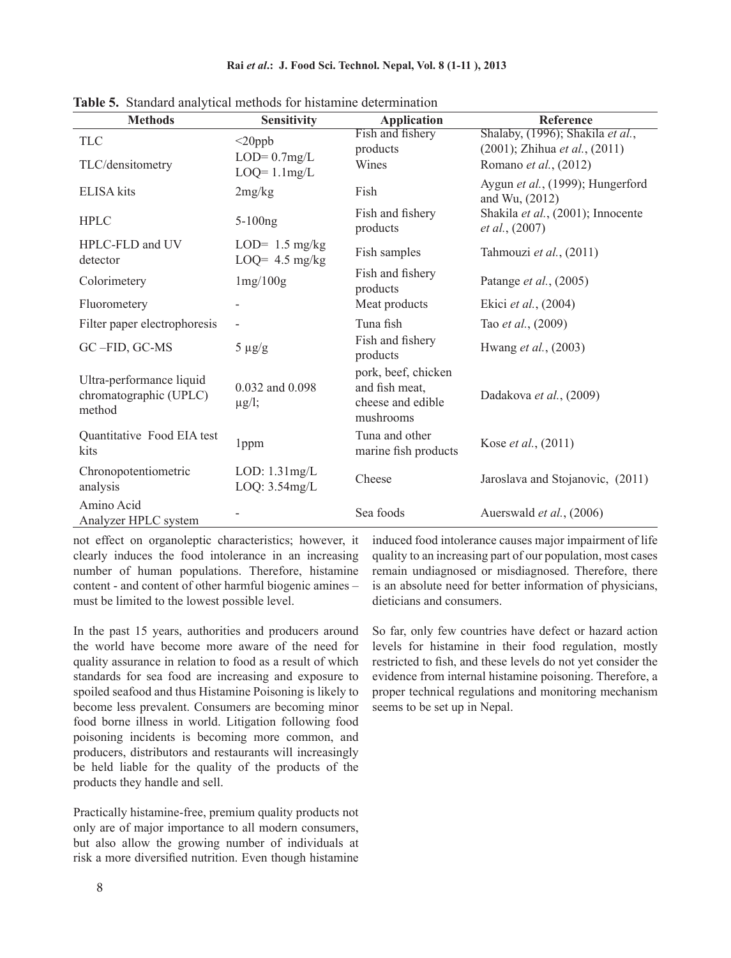| <b>Methods</b>                                               | Sensitivity                                          | <b>Application</b>                                                      | Reference                                                   |
|--------------------------------------------------------------|------------------------------------------------------|-------------------------------------------------------------------------|-------------------------------------------------------------|
| <b>TLC</b>                                                   | $<$ 20ppb                                            | Fish and fishery                                                        | Shalaby, (1996); Shakila et al.,                            |
|                                                              | $LOD = 0.7mg/L$                                      | products                                                                | $(2001)$ ; Zhihua <i>et al.</i> , $(2011)$                  |
| TLC/densitometry                                             | $LOQ=1.1mg/L$                                        | Wines                                                                   | Romano et al., (2012)                                       |
| <b>ELISA</b> kits                                            | 2mg/kg                                               | Fish                                                                    | Aygun et al., (1999); Hungerford<br>and Wu, (2012)          |
| <b>HPLC</b>                                                  | $5-100$ ng                                           | Fish and fishery<br>products                                            | Shakila et al., (2001); Innocente<br><i>et al.</i> , (2007) |
| HPLC-FLD and UV<br>detector                                  | LOD= $1.5 \text{ mg/kg}$<br>LOQ= $4.5 \text{ mg/kg}$ | Fish samples                                                            | Tahmouzi et al., (2011)                                     |
| Colorimetery                                                 | 1mg/100g                                             | Fish and fishery<br>products                                            | Patange et al., (2005)                                      |
| Fluorometery                                                 |                                                      | Meat products                                                           | Ekici et al., (2004)                                        |
| Filter paper electrophoresis                                 |                                                      | Tuna fish                                                               | Tao et al., (2009)                                          |
| GC-FID, GC-MS                                                | $5 \mu g/g$                                          | Fish and fishery<br>products                                            | Hwang <i>et al.</i> , (2003)                                |
| Ultra-performance liquid<br>chromatographic (UPLC)<br>method | 0.032 and 0.098<br>$\mu$ g/l;                        | pork, beef, chicken<br>and fish meat,<br>cheese and edible<br>mushrooms | Dadakova et al., (2009)                                     |
| Quantitative Food EIA test<br>kits                           | 1ppm                                                 | Tuna and other<br>marine fish products                                  | Kose <i>et al.</i> , (2011)                                 |
| Chronopotentiometric<br>analysis                             | LOD: 1.31mg/L<br>LOQ: 3.54mg/L                       | Cheese                                                                  | Jaroslava and Stojanovic, (2011)                            |
| Amino Acid<br>Analyzer HPLC system                           |                                                      | Sea foods                                                               | Auerswald et al., (2006)                                    |

**Table 5.** Standard analytical methods for histamine determination

not effect on organoleptic characteristics; however, it clearly induces the food intolerance in an increasing number of human populations. Therefore, histamine content - and content of other harmful biogenic amines – must be limited to the lowest possible level.

In the past 15 years, authorities and producers around the world have become more aware of the need for quality assurance in relation to food as a result of which standards for sea food are increasing and exposure to spoiled seafood and thus Histamine Poisoning is likely to become less prevalent. Consumers are becoming minor food borne illness in world. Litigation following food poisoning incidents is becoming more common, and producers, distributors and restaurants will increasingly be held liable for the quality of the products of the products they handle and sell.

Practically histamine-free, premium quality products not only are of major importance to all modern consumers, but also allow the growing number of individuals at risk a more diversified nutrition. Even though histamine

induced food intolerance causes major impairment of life quality to an increasing part of our population, most cases remain undiagnosed or misdiagnosed. Therefore, there is an absolute need for better information of physicians, dieticians and consumers.

So far, only few countries have defect or hazard action levels for histamine in their food regulation, mostly restricted to fish, and these levels do not yet consider the evidence from internal histamine poisoning. Therefore, a proper technical regulations and monitoring mechanism seems to be set up in Nepal.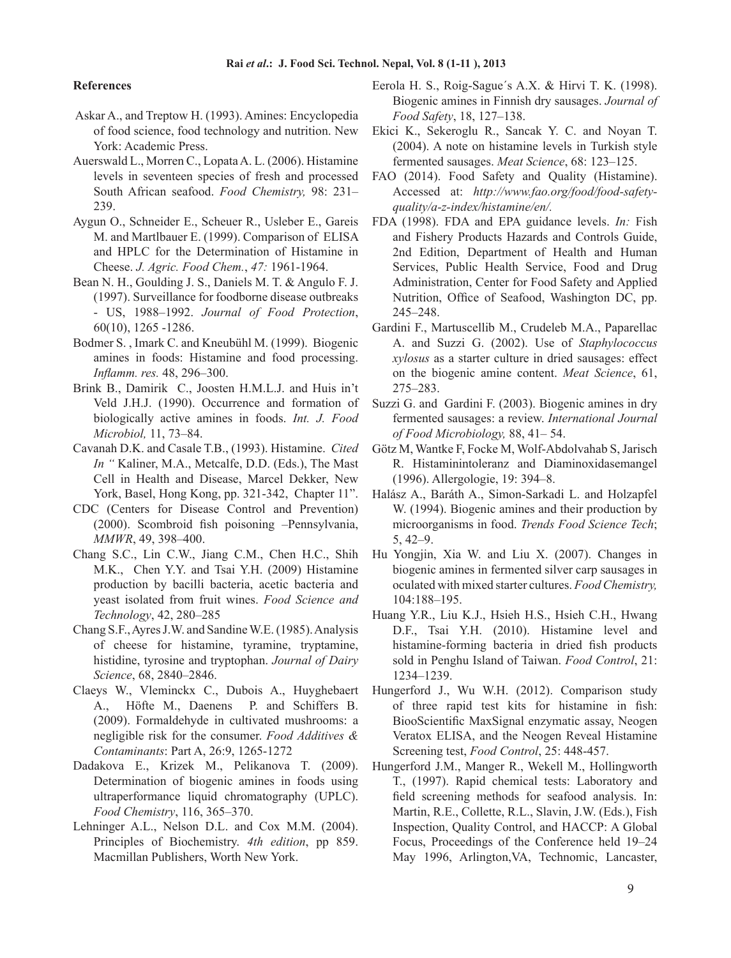### **References**

- Askar A., and Treptow H. (1993). Amines: Encyclopedia of food science, food technology and nutrition. New York: Academic Press.
- Auerswald L., Morren C., Lopata A. L. (2006). Histamine levels in seventeen species of fresh and processed South African seafood. *Food Chemistry,* 98: 231– 239.
- Aygun O., Schneider E., Scheuer R., Usleber E., Gareis M. and Martlbauer E. (1999). Comparison of ELISA and HPLC for the Determination of Histamine in Cheese. *J. Agric. Food Chem.*, *47:* 1961-1964.
- Bean N. H., Goulding J. S., Daniels M. T. & Angulo F. J. (1997). Surveillance for foodborne disease outbreaks - US, 1988–1992. *Journal of Food Protection*, 60(10), 1265 -1286.
- Bodmer S. , Imark C. and Kneubühl M. (1999). Biogenic amines in foods: Histamine and food processing. *Inflamm. res.* 48, 296–300.
- Brink B., Damirik C., Joosten H.M.L.J. and Huis in't Veld J.H.J. (1990). Occurrence and formation of biologically active amines in foods. *Int. J. Food Microbiol,* 11, 73–84.
- Cavanah D.K. and Casale T.B., (1993). Histamine. *Cited In "* Kaliner, M.A., Metcalfe, D.D. (Eds.), The Mast Cell in Health and Disease, Marcel Dekker, New York, Basel, Hong Kong, pp. 321-342, Chapter 11".
- CDC (Centers for Disease Control and Prevention) (2000). Scombroid fish poisoning -Pennsylvania, *MMWR*, 49, 398–400.
- Chang S.C., Lin C.W., Jiang C.M., Chen H.C., Shih M.K., Chen Y.Y. and Tsai Y.H. (2009) Histamine production by bacilli bacteria, acetic bacteria and yeast isolated from fruit wines. *Food Science and Technology*, 42, 280–285
- Chang S.F., Ayres J.W. and Sandine W.E. (1985). Analysis of cheese for histamine, tyramine, tryptamine, histidine, tyrosine and tryptophan. *Journal of Dairy Science*, 68, 2840–2846.
- Claeys W., Vleminckx C., Dubois A., Huyghebaert A., Höfte M., Daenens P. and Schiffers B. (2009). Formaldehyde in cultivated mushrooms: a negligible risk for the consumer. *Food Additives & Contaminants*: Part A, 26:9, 1265-1272
- Dadakova E., Krizek M., Pelikanova T. (2009). Determination of biogenic amines in foods using ultraperformance liquid chromatography (UPLC). *Food Chemistry*, 116, 365–370.
- Lehninger A.L., Nelson D.L. and Cox M.M. (2004). Principles of Biochemistry. *4th edition*, pp 859. Macmillan Publishers, Worth New York.
- Eerola H. S., Roig-Sague´s A.X. & Hirvi T. K. (1998). Biogenic amines in Finnish dry sausages. *Journal of Food Safety*, 18, 127–138.
- Ekici K., Sekeroglu R., Sancak Y. C. and Noyan T. (2004). A note on histamine levels in Turkish style fermented sausages. *Meat Science*, 68: 123–125.
- FAO (2014). Food Safety and Quality (Histamine). Accessed at: *http://www.fao.org/food/food-safetyquality/a-z-index/histamine/en/.*
- FDA (1998). FDA and EPA guidance levels. *In:* Fish and Fishery Products Hazards and Controls Guide, 2nd Edition, Department of Health and Human Services, Public Health Service, Food and Drug Administration, Center for Food Safety and Applied Nutrition, Office of Seafood, Washington DC, pp. 245–248.
- Gardini F., Martuscellib M., Crudeleb M.A., Paparellac A. and Suzzi G. (2002). Use of *Staphylococcus xylosus* as a starter culture in dried sausages: effect on the biogenic amine content. *Meat Science*, 61, 275–283.
- Suzzi G. and Gardini F. (2003). Biogenic amines in dry fermented sausages: a review. *International Journal of Food Microbiology,* 88, 41– 54.
- Götz M, Wantke F, Focke M, Wolf-Abdolvahab S, Jarisch R. Histaminintoleranz and Diaminoxidasemangel (1996). Allergologie, 19: 394–8.
- Halász A., Baráth A., Simon-Sarkadi L. and Holzapfel W. (1994). Biogenic amines and their production by microorganisms in food. *Trends Food Science Tech*; 5, 42–9.
- Hu Yongjin, Xia W. and Liu X. (2007). Changes in biogenic amines in fermented silver carp sausages in oculated with mixed starter cultures. *Food Chemistry,*  104:188–195.
- Huang Y.R., Liu K.J., Hsieh H.S., Hsieh C.H., Hwang D.F., Tsai Y.H. (2010). Histamine level and histamine-forming bacteria in dried fish products sold in Penghu Island of Taiwan. *Food Control*, 21: 1234–1239.
- Hungerford J., Wu W.H. (2012). Comparison study of three rapid test kits for histamine in fish: BiooScientific MaxSignal enzymatic assay, Neogen Veratox ELISA, and the Neogen Reveal Histamine Screening test, *Food Control*, 25: 448-457.
- Hungerford J.M., Manger R., Wekell M., Hollingworth T., (1997). Rapid chemical tests: Laboratory and field screening methods for seafood analysis. In: Martin, R.E., Collette, R.L., Slavin, J.W. (Eds.), Fish Inspection, Quality Control, and HACCP: A Global Focus, Proceedings of the Conference held 19–24 May 1996, Arlington,VA, Technomic, Lancaster,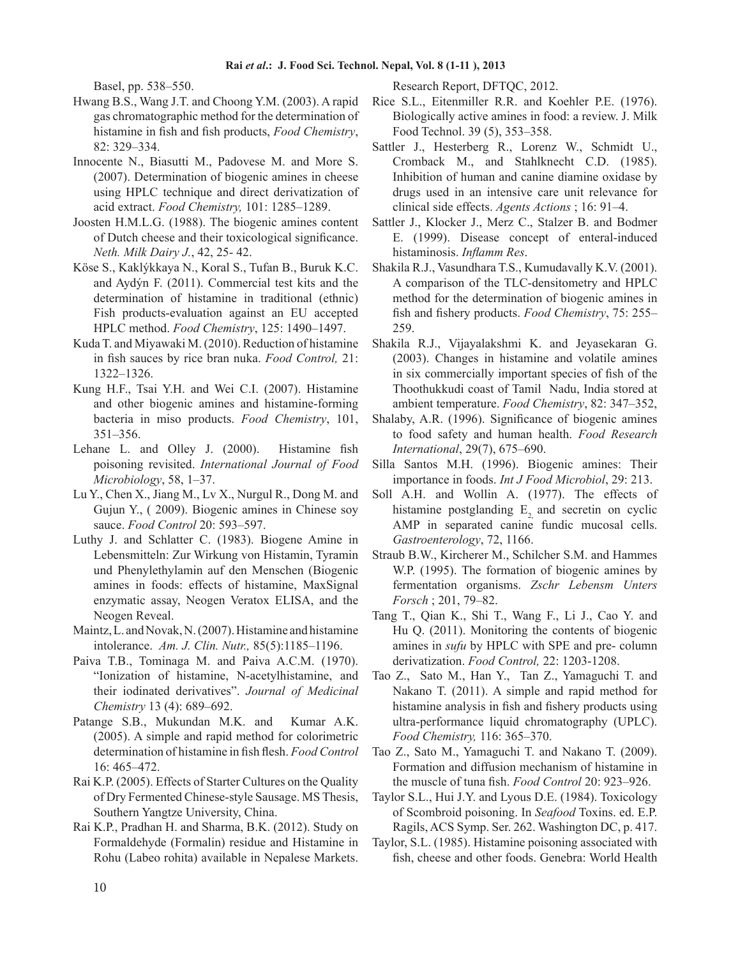Basel, pp. 538–550.

- Hwang B.S., Wang J.T. and Choong Y.M. (2003). A rapid gas chromatographic method for the determination of histamine in fish and fish products, *Food Chemistry*, 82: 329–334.
- Innocente N., Biasutti M., Padovese M. and More S. (2007). Determination of biogenic amines in cheese using HPLC technique and direct derivatization of acid extract. *Food Chemistry,* 101: 1285–1289.
- Joosten H.M.L.G. (1988). The biogenic amines content of Dutch cheese and their toxicological significance. *Neth. Milk Dairy J.*, 42, 25- 42.
- Köse S., Kaklýkkaya N., Koral S., Tufan B., Buruk K.C. and Aydýn F. (2011). Commercial test kits and the determination of histamine in traditional (ethnic) Fish products-evaluation against an EU accepted HPLC method. *Food Chemistry*, 125: 1490–1497.
- Kuda T. and Miyawaki M. (2010). Reduction of histamine in fish sauces by rice bran nuka. *Food Control,* 21: 1322–1326.
- Kung H.F., Tsai Y.H. and Wei C.I. (2007). Histamine and other biogenic amines and histamine-forming bacteria in miso products. *Food Chemistry*, 101, 351–356.
- Lehane L. and Olley J. (2000). Histamine fish poisoning revisited. *International Journal of Food Microbiology*, 58, 1–37.
- Lu Y., Chen X., Jiang M., Lv X., Nurgul R., Dong M. and Gujun Y., ( 2009). Biogenic amines in Chinese soy sauce. *Food Control* 20: 593–597.
- Luthy J. and Schlatter C. (1983). Biogene Amine in Lebensmitteln: Zur Wirkung von Histamin, Tyramin und Phenylethylamin auf den Menschen (Biogenic amines in foods: effects of histamine, MaxSignal enzymatic assay, Neogen Veratox ELISA, and the Neogen Reveal.
- Maintz, L. and Novak, N. (2007). Histamine and histamine intolerance. *Am. J. Clin. Nutr.,* 85(5):1185–1196.
- Paiva T.B., Tominaga M. and Paiva A.C.M. (1970). "Ionization of histamine, N-acetylhistamine, and their iodinated derivatives". *Journal of Medicinal Chemistry* 13 (4): 689–692.
- Patange S.B., Mukundan M.K. and Kumar A.K. (2005). A simple and rapid method for colorimetric determination of histamine in fish flesh. *Food Control*  16: 465–472.
- Rai K.P. (2005). Effects of Starter Cultures on the Quality of Dry Fermented Chinese-style Sausage. MS Thesis, Southern Yangtze University, China.
- Rai K.P., Pradhan H. and Sharma, B.K. (2012). Study on Formaldehyde (Formalin) residue and Histamine in Rohu (Labeo rohita) available in Nepalese Markets.

Research Report, DFTQC, 2012.

- Rice S.L., Eitenmiller R.R. and Koehler P.E. (1976). Biologically active amines in food: a review. J. Milk Food Technol. 39 (5), 353–358.
- Sattler J., Hesterberg R., Lorenz W., Schmidt U., Cromback M., and Stahlknecht C.D. (1985). Inhibition of human and canine diamine oxidase by drugs used in an intensive care unit relevance for clinical side effects. *Agents Actions* ; 16: 91–4.
- Sattler J., Klocker J., Merz C., Stalzer B. and Bodmer E. (1999). Disease concept of enteral-induced histaminosis. *Inflamm Res*.
- Shakila R.J., Vasundhara T.S., Kumudavally K.V. (2001). A comparison of the TLC-densitometry and HPLC method for the determination of biogenic amines in fish and fishery products. *Food Chemistry*, 75: 255– 259.
- Shakila R.J., Vijayalakshmi K. and Jeyasekaran G. (2003). Changes in histamine and volatile amines in six commercially important species of fish of the Thoothukkudi coast of Tamil Nadu, India stored at ambient temperature. *Food Chemistry*, 82: 347–352,
- Shalaby, A.R. (1996). Significance of biogenic amines to food safety and human health. *Food Research International*, 29(7), 675–690.
- Silla Santos M.H. (1996). Biogenic amines: Their importance in foods. *Int J Food Microbiol*, 29: 213.
- Soll A.H. and Wollin A. (1977). The effects of histamine postglanding  $E_2$  and secretin on cyclic AMP in separated canine fundic mucosal cells. *Gastroenterology*, 72, 1166.
- Straub B.W., Kircherer M., Schilcher S.M. and Hammes W.P. (1995). The formation of biogenic amines by fermentation organisms. *Zschr Lebensm Unters Forsch* ; 201, 79–82.
- Tang T., Qian K., Shi T., Wang F., Li J., Cao Y. and Hu Q. (2011). Monitoring the contents of biogenic amines in *sufu* by HPLC with SPE and pre- column derivatization. *Food Control,* 22: 1203-1208.
- Tao Z., Sato M., Han Y., Tan Z., Yamaguchi T. and Nakano T. (2011). A simple and rapid method for histamine analysis in fish and fishery products using ultra-performance liquid chromatography (UPLC). *Food Chemistry,* 116: 365–370.
- Tao Z., Sato M., Yamaguchi T. and Nakano T. (2009). Formation and diffusion mechanism of histamine in the muscle of tuna fish. *Food Control* 20: 923–926.
- Taylor S.L., Hui J.Y. and Lyous D.E. (1984). Toxicology of Scombroid poisoning. In *Seafood* Toxins. ed. E.P. Ragils, ACS Symp. Ser. 262. Washington DC, p. 417.
- Taylor, S.L. (1985). Histamine poisoning associated with fish, cheese and other foods. Genebra: World Health